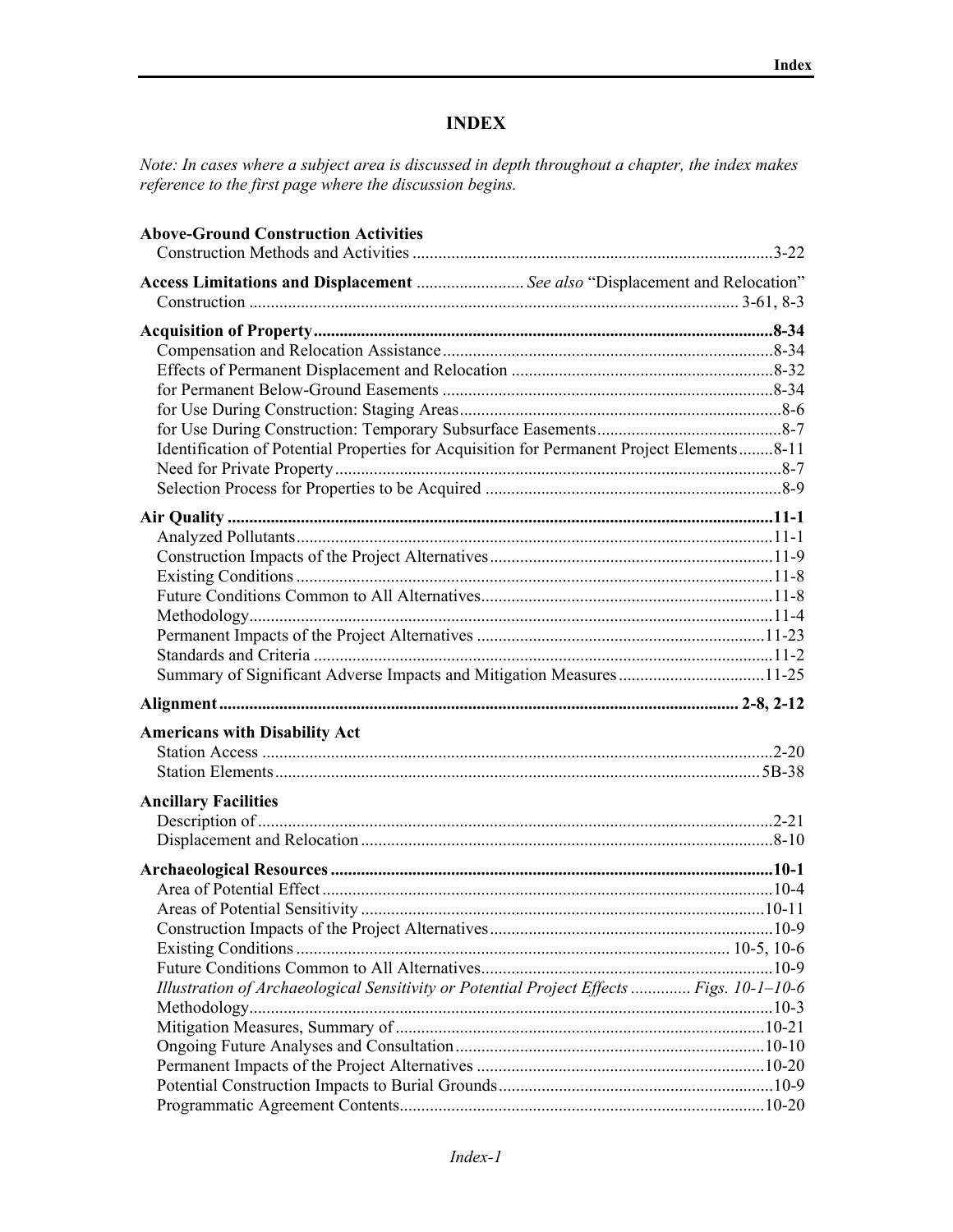## **INDEX**

*Note: In cases where a subject area is discussed in depth throughout a chapter, the index makes reference to the first page where the discussion begins.* 

| <b>Above-Ground Construction Activities</b>                                               |  |
|-------------------------------------------------------------------------------------------|--|
| Access Limitations and Displacement  See also "Displacement and Relocation"               |  |
|                                                                                           |  |
|                                                                                           |  |
|                                                                                           |  |
|                                                                                           |  |
|                                                                                           |  |
|                                                                                           |  |
|                                                                                           |  |
| Identification of Potential Properties for Acquisition for Permanent Project Elements8-11 |  |
|                                                                                           |  |
|                                                                                           |  |
|                                                                                           |  |
|                                                                                           |  |
|                                                                                           |  |
|                                                                                           |  |
|                                                                                           |  |
|                                                                                           |  |
|                                                                                           |  |
|                                                                                           |  |
|                                                                                           |  |
|                                                                                           |  |
| <b>Americans with Disability Act</b>                                                      |  |
|                                                                                           |  |
|                                                                                           |  |
| <b>Ancillary Facilities</b>                                                               |  |
|                                                                                           |  |
|                                                                                           |  |
|                                                                                           |  |
|                                                                                           |  |
|                                                                                           |  |
|                                                                                           |  |
|                                                                                           |  |
|                                                                                           |  |
| Illustration of Archaeological Sensitivity or Potential Project Effects  Figs. 10-1-10-6  |  |
|                                                                                           |  |
|                                                                                           |  |
|                                                                                           |  |
|                                                                                           |  |
|                                                                                           |  |
|                                                                                           |  |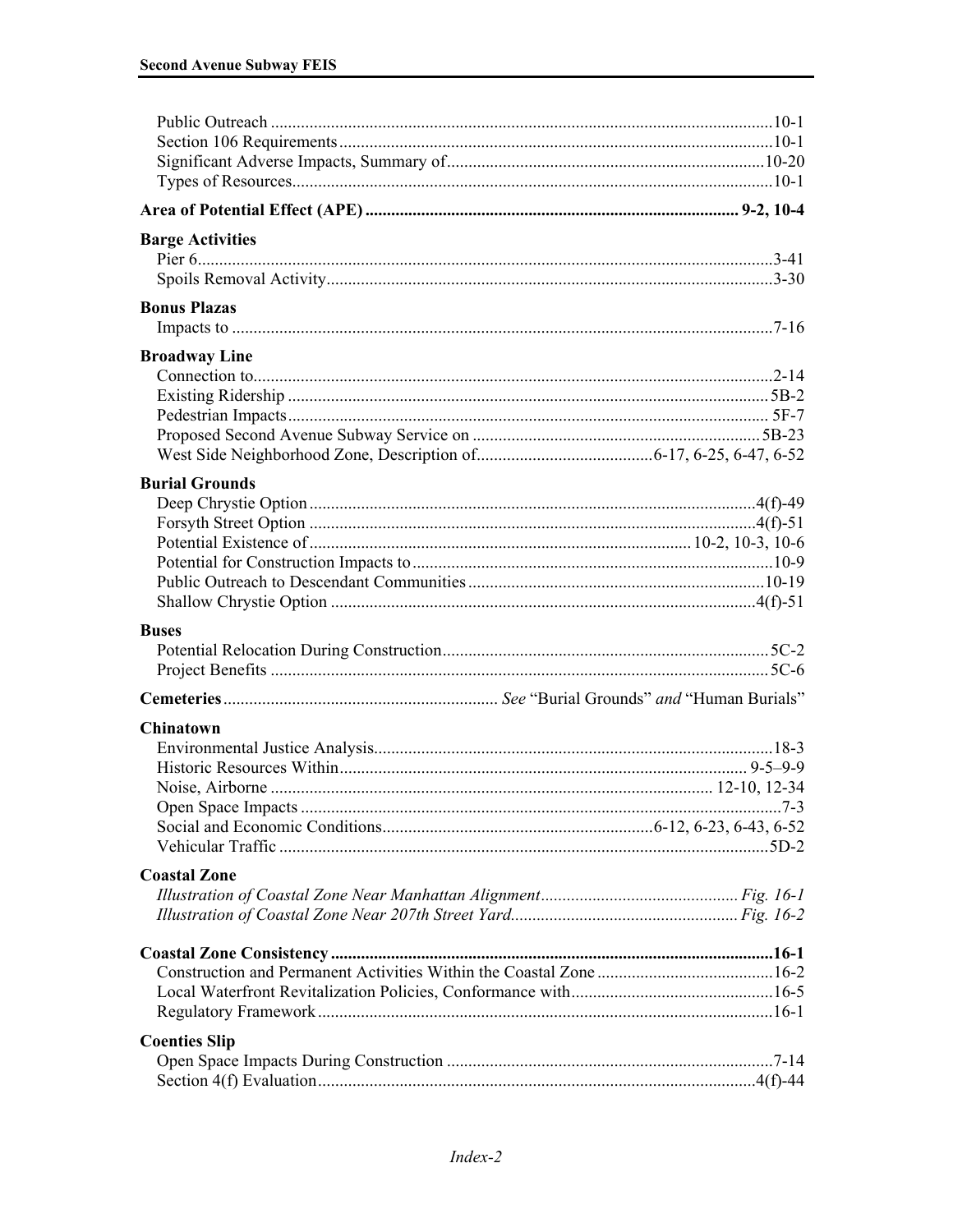| <b>Barge Activities</b> |  |
|-------------------------|--|
|                         |  |
| <b>Bonus Plazas</b>     |  |
|                         |  |
| <b>Broadway Line</b>    |  |
|                         |  |
|                         |  |
|                         |  |
|                         |  |
|                         |  |
| <b>Burial Grounds</b>   |  |
|                         |  |
|                         |  |
|                         |  |
|                         |  |
|                         |  |
|                         |  |
| <b>Buses</b>            |  |
|                         |  |
|                         |  |
|                         |  |
| Chinatown               |  |
|                         |  |
|                         |  |
|                         |  |
|                         |  |
|                         |  |
|                         |  |
| <b>Coastal Zone</b>     |  |
|                         |  |
|                         |  |
|                         |  |
|                         |  |
|                         |  |
|                         |  |
| <b>Coenties Slip</b>    |  |
|                         |  |
|                         |  |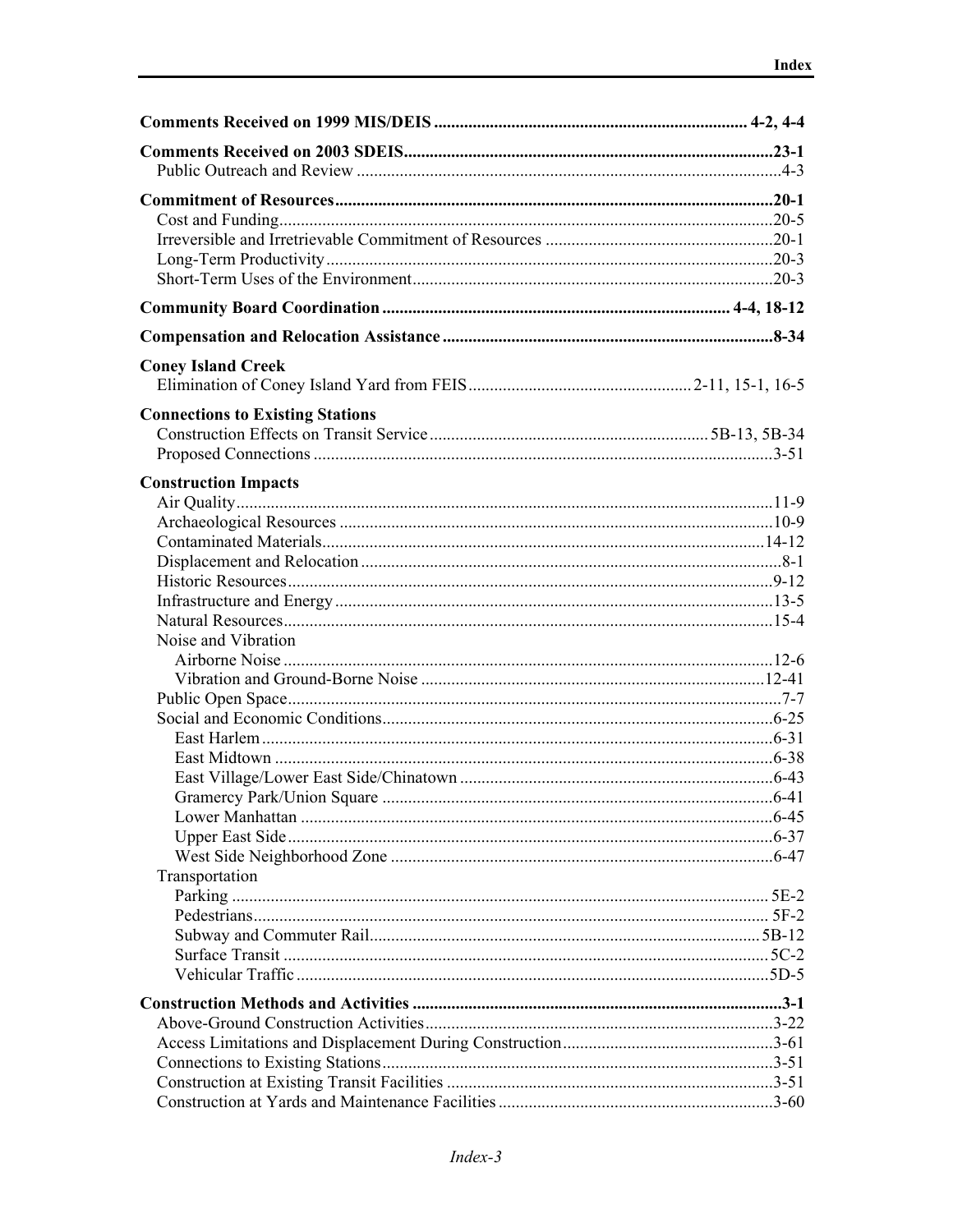| <b>Coney Island Creek</b>               |  |
|-----------------------------------------|--|
|                                         |  |
| <b>Connections to Existing Stations</b> |  |
|                                         |  |
|                                         |  |
|                                         |  |
| <b>Construction Impacts</b>             |  |
|                                         |  |
|                                         |  |
|                                         |  |
|                                         |  |
|                                         |  |
|                                         |  |
| Noise and Vibration                     |  |
|                                         |  |
|                                         |  |
|                                         |  |
|                                         |  |
|                                         |  |
|                                         |  |
|                                         |  |
|                                         |  |
|                                         |  |
|                                         |  |
| Transportation                          |  |
|                                         |  |
|                                         |  |
|                                         |  |
|                                         |  |
|                                         |  |
|                                         |  |
|                                         |  |
|                                         |  |
|                                         |  |
|                                         |  |
|                                         |  |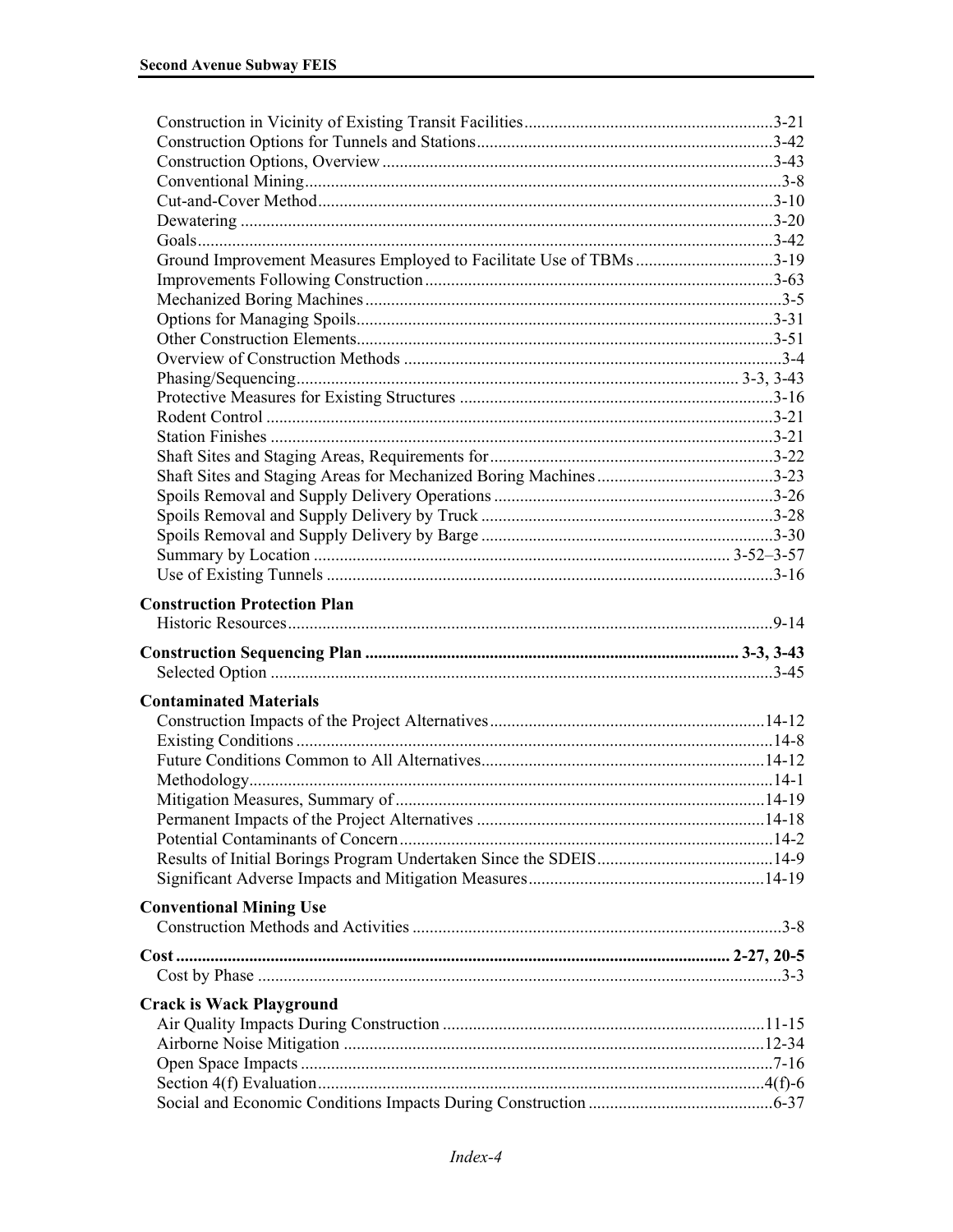| Ground Improvement Measures Employed to Facilitate Use of TBMs 3-19 |  |
|---------------------------------------------------------------------|--|
|                                                                     |  |
|                                                                     |  |
|                                                                     |  |
|                                                                     |  |
|                                                                     |  |
|                                                                     |  |
|                                                                     |  |
|                                                                     |  |
|                                                                     |  |
|                                                                     |  |
|                                                                     |  |
|                                                                     |  |
|                                                                     |  |
|                                                                     |  |
|                                                                     |  |
|                                                                     |  |
| <b>Construction Protection Plan</b>                                 |  |
|                                                                     |  |
|                                                                     |  |
|                                                                     |  |
| <b>Contaminated Materials</b>                                       |  |
|                                                                     |  |
|                                                                     |  |
|                                                                     |  |
|                                                                     |  |
|                                                                     |  |
|                                                                     |  |
|                                                                     |  |
|                                                                     |  |
|                                                                     |  |
| <b>Conventional Mining Use</b>                                      |  |
|                                                                     |  |
|                                                                     |  |
|                                                                     |  |
| <b>Crack is Wack Playground</b>                                     |  |
|                                                                     |  |
|                                                                     |  |
|                                                                     |  |
|                                                                     |  |
|                                                                     |  |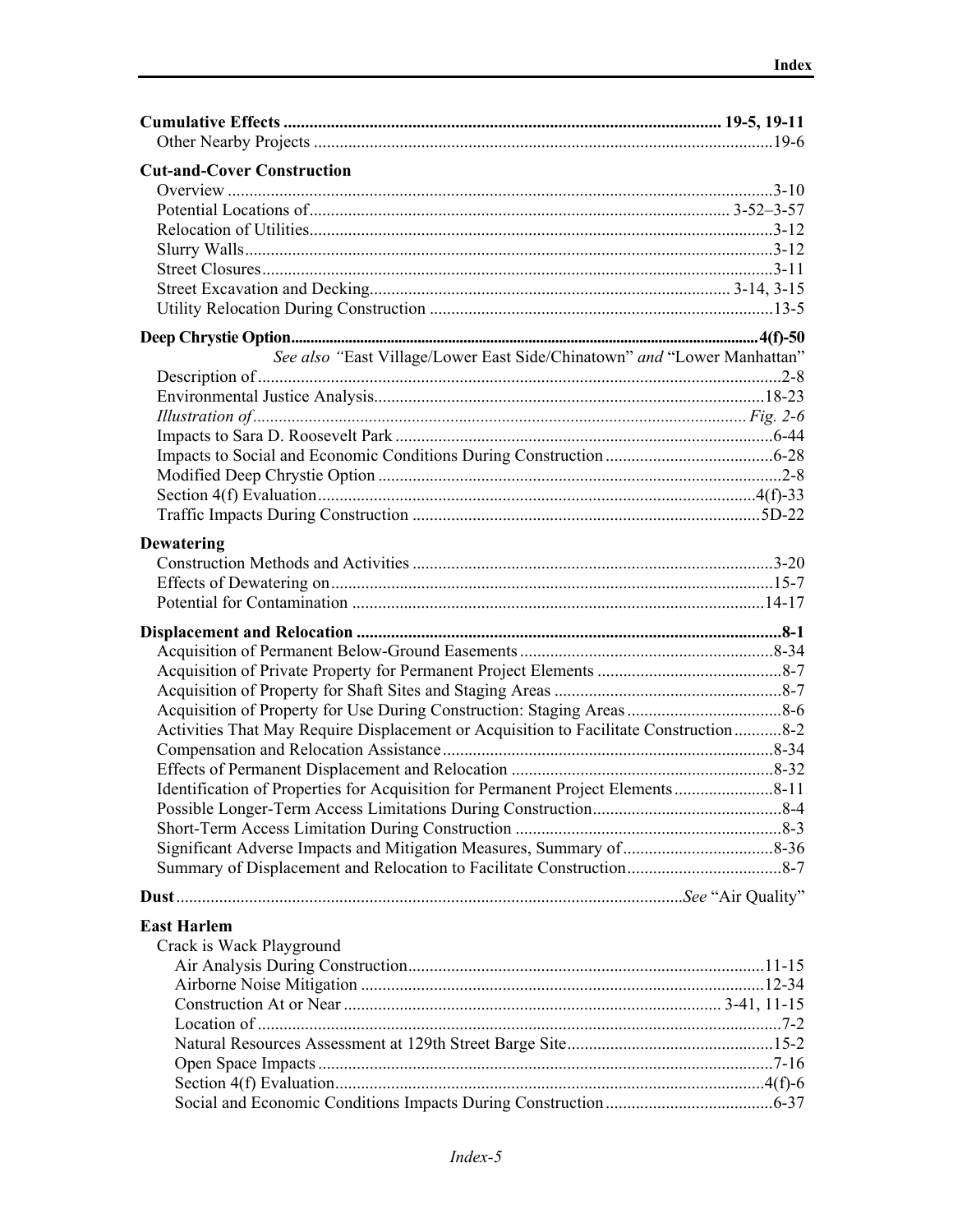| <b>Cut-and-Cover Construction</b>                                                      |  |
|----------------------------------------------------------------------------------------|--|
|                                                                                        |  |
|                                                                                        |  |
|                                                                                        |  |
|                                                                                        |  |
|                                                                                        |  |
|                                                                                        |  |
|                                                                                        |  |
|                                                                                        |  |
| See also "East Village/Lower East Side/Chinatown" and "Lower Manhattan"                |  |
|                                                                                        |  |
|                                                                                        |  |
|                                                                                        |  |
|                                                                                        |  |
|                                                                                        |  |
|                                                                                        |  |
|                                                                                        |  |
|                                                                                        |  |
|                                                                                        |  |
| <b>Dewatering</b>                                                                      |  |
|                                                                                        |  |
|                                                                                        |  |
|                                                                                        |  |
|                                                                                        |  |
|                                                                                        |  |
|                                                                                        |  |
|                                                                                        |  |
|                                                                                        |  |
| Activities That May Require Displacement or Acquisition to Facilitate Construction 8-2 |  |
|                                                                                        |  |
|                                                                                        |  |
|                                                                                        |  |
|                                                                                        |  |
|                                                                                        |  |
|                                                                                        |  |
|                                                                                        |  |
|                                                                                        |  |
| <b>East Harlem</b>                                                                     |  |
| Crack is Wack Playground                                                               |  |
|                                                                                        |  |
|                                                                                        |  |
|                                                                                        |  |
|                                                                                        |  |
|                                                                                        |  |
|                                                                                        |  |
|                                                                                        |  |
|                                                                                        |  |
|                                                                                        |  |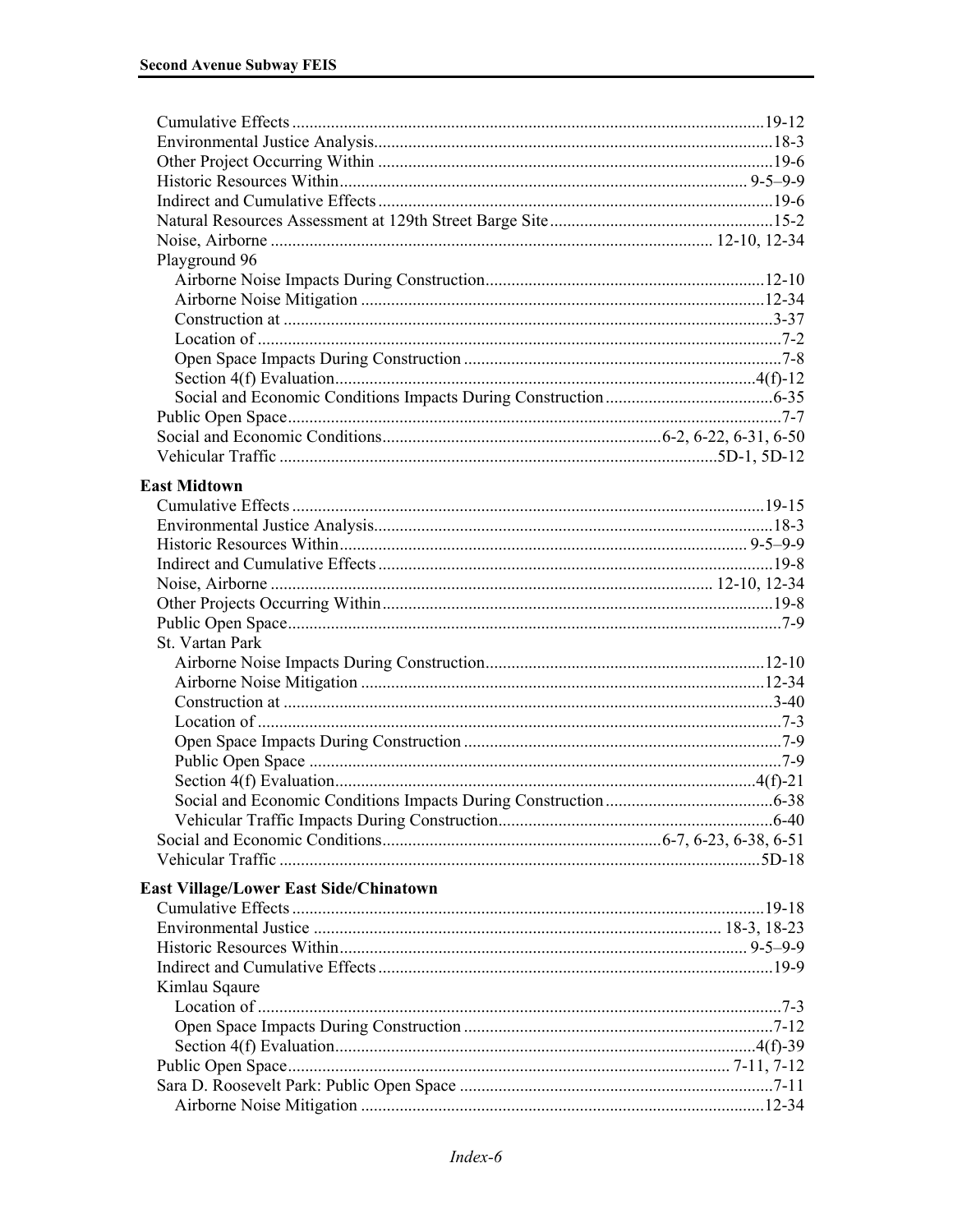| Playground 96                          |  |
|----------------------------------------|--|
|                                        |  |
|                                        |  |
|                                        |  |
|                                        |  |
|                                        |  |
|                                        |  |
|                                        |  |
|                                        |  |
|                                        |  |
|                                        |  |
|                                        |  |
| <b>East Midtown</b>                    |  |
|                                        |  |
|                                        |  |
|                                        |  |
|                                        |  |
|                                        |  |
|                                        |  |
|                                        |  |
| St. Vartan Park                        |  |
|                                        |  |
|                                        |  |
|                                        |  |
|                                        |  |
|                                        |  |
|                                        |  |
|                                        |  |
|                                        |  |
|                                        |  |
|                                        |  |
|                                        |  |
|                                        |  |
| East Village/Lower East Side/Chinatown |  |
|                                        |  |
|                                        |  |
|                                        |  |
|                                        |  |
| Kimlau Sqaure                          |  |
|                                        |  |
|                                        |  |
|                                        |  |
|                                        |  |
|                                        |  |
|                                        |  |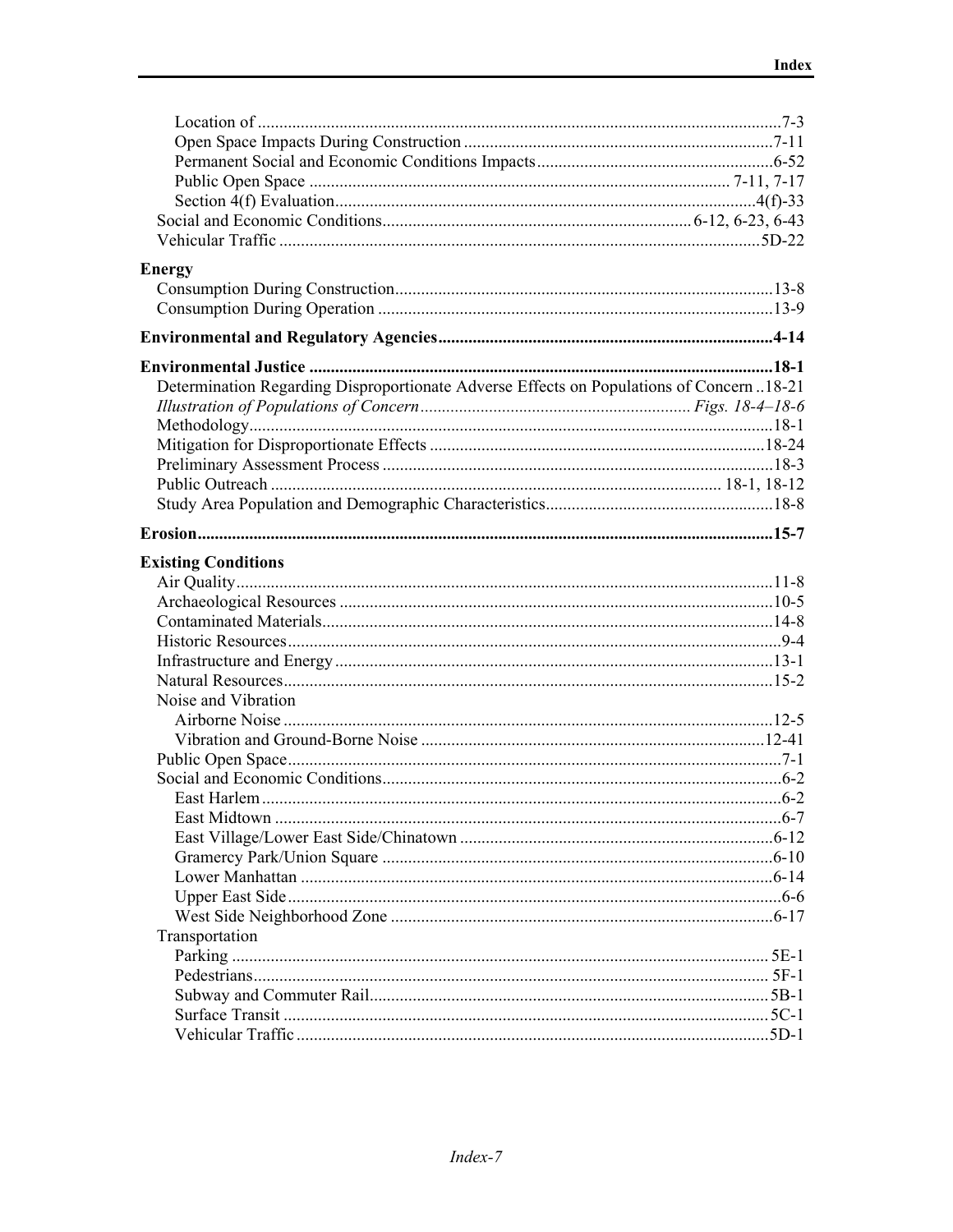| <b>Energy</b>                                                                           |  |
|-----------------------------------------------------------------------------------------|--|
|                                                                                         |  |
|                                                                                         |  |
|                                                                                         |  |
|                                                                                         |  |
|                                                                                         |  |
| Determination Regarding Disproportionate Adverse Effects on Populations of Concern18-21 |  |
|                                                                                         |  |
|                                                                                         |  |
|                                                                                         |  |
|                                                                                         |  |
|                                                                                         |  |
|                                                                                         |  |
|                                                                                         |  |
| <b>Existing Conditions</b>                                                              |  |
|                                                                                         |  |
|                                                                                         |  |
|                                                                                         |  |
|                                                                                         |  |
|                                                                                         |  |
|                                                                                         |  |
| Noise and Vibration                                                                     |  |
|                                                                                         |  |
|                                                                                         |  |
|                                                                                         |  |
|                                                                                         |  |
|                                                                                         |  |
|                                                                                         |  |
|                                                                                         |  |
|                                                                                         |  |
|                                                                                         |  |
|                                                                                         |  |
|                                                                                         |  |
| Transportation                                                                          |  |
|                                                                                         |  |
|                                                                                         |  |
|                                                                                         |  |
|                                                                                         |  |
|                                                                                         |  |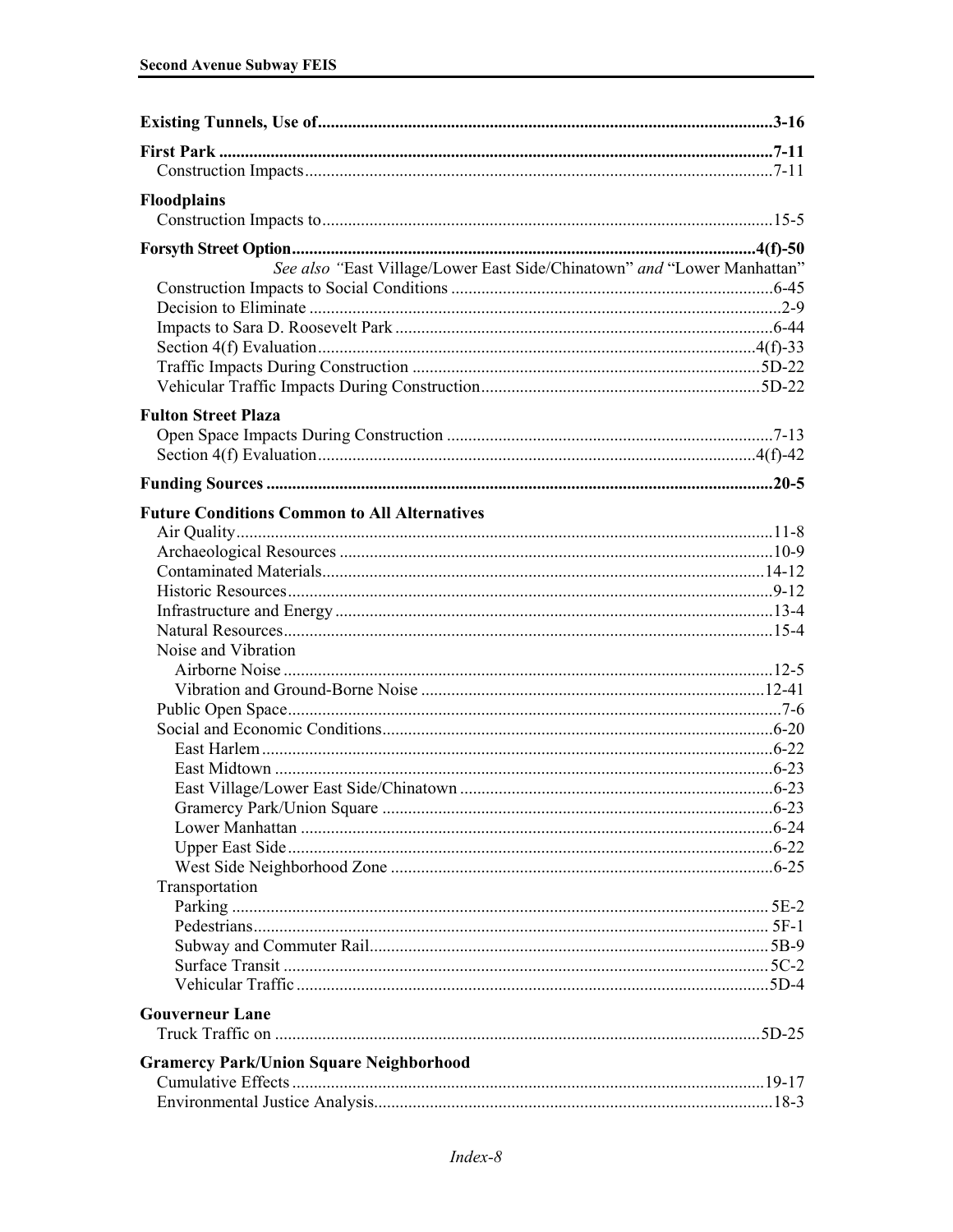| <b>Floodplains</b>                                                      |  |
|-------------------------------------------------------------------------|--|
|                                                                         |  |
|                                                                         |  |
|                                                                         |  |
| See also "East Village/Lower East Side/Chinatown" and "Lower Manhattan" |  |
|                                                                         |  |
|                                                                         |  |
|                                                                         |  |
|                                                                         |  |
|                                                                         |  |
|                                                                         |  |
| <b>Fulton Street Plaza</b>                                              |  |
|                                                                         |  |
|                                                                         |  |
|                                                                         |  |
|                                                                         |  |
| <b>Future Conditions Common to All Alternatives</b>                     |  |
|                                                                         |  |
|                                                                         |  |
|                                                                         |  |
|                                                                         |  |
|                                                                         |  |
|                                                                         |  |
| Noise and Vibration                                                     |  |
|                                                                         |  |
|                                                                         |  |
|                                                                         |  |
|                                                                         |  |
|                                                                         |  |
|                                                                         |  |
|                                                                         |  |
|                                                                         |  |
|                                                                         |  |
|                                                                         |  |
|                                                                         |  |
| Transportation                                                          |  |
|                                                                         |  |
|                                                                         |  |
|                                                                         |  |
|                                                                         |  |
|                                                                         |  |
| <b>Gouverneur Lane</b>                                                  |  |
|                                                                         |  |
|                                                                         |  |
| <b>Gramercy Park/Union Square Neighborhood</b>                          |  |
|                                                                         |  |
|                                                                         |  |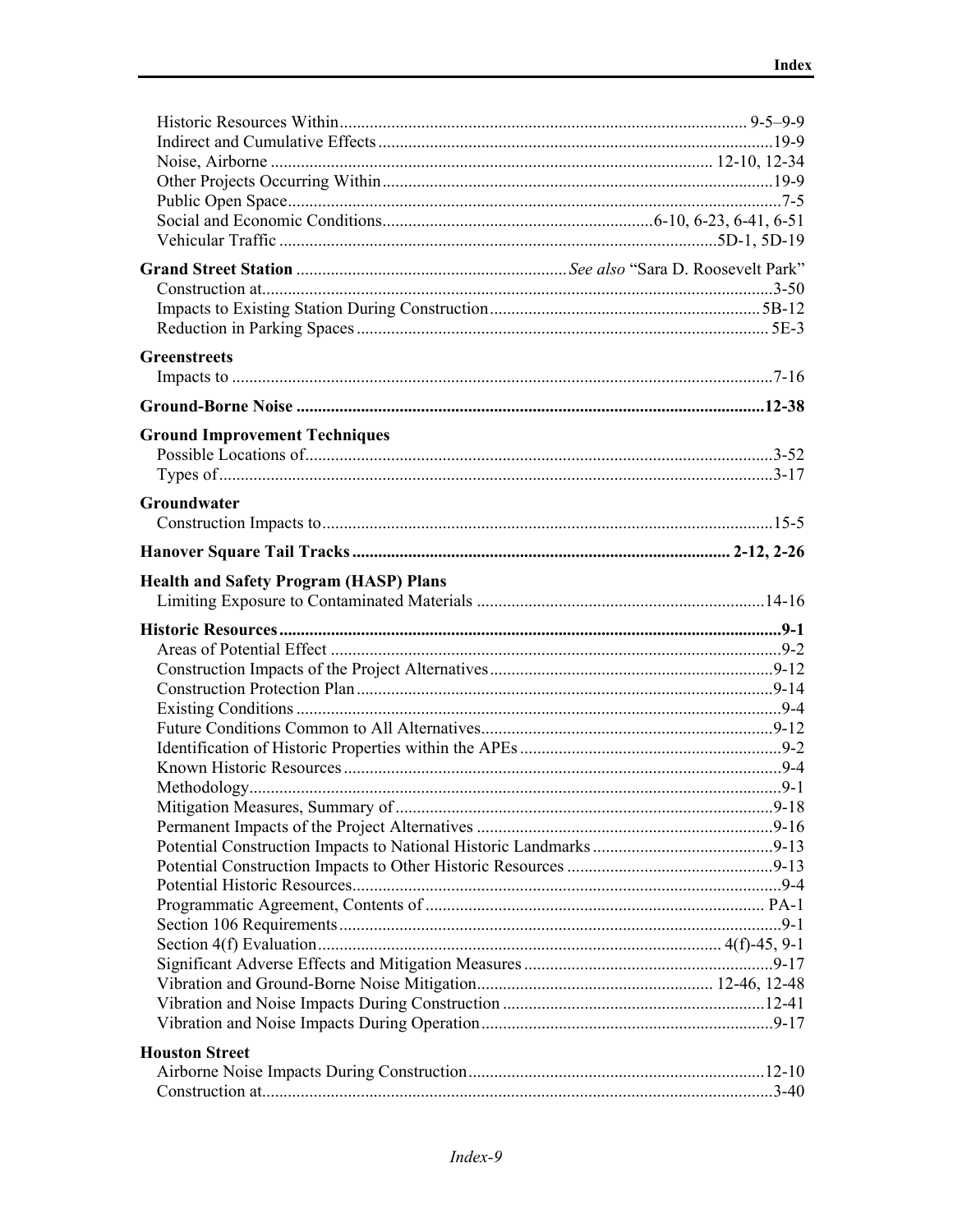| <b>Greenstreets</b>                           |  |
|-----------------------------------------------|--|
|                                               |  |
|                                               |  |
| <b>Ground Improvement Techniques</b>          |  |
|                                               |  |
|                                               |  |
|                                               |  |
| Groundwater                                   |  |
|                                               |  |
|                                               |  |
| <b>Health and Safety Program (HASP) Plans</b> |  |
|                                               |  |
|                                               |  |
|                                               |  |
|                                               |  |
|                                               |  |
|                                               |  |
|                                               |  |
|                                               |  |
|                                               |  |
|                                               |  |
|                                               |  |
|                                               |  |
|                                               |  |
|                                               |  |
|                                               |  |
|                                               |  |
|                                               |  |
|                                               |  |
|                                               |  |
|                                               |  |
|                                               |  |
|                                               |  |
|                                               |  |
| <b>Houston Street</b>                         |  |
|                                               |  |
|                                               |  |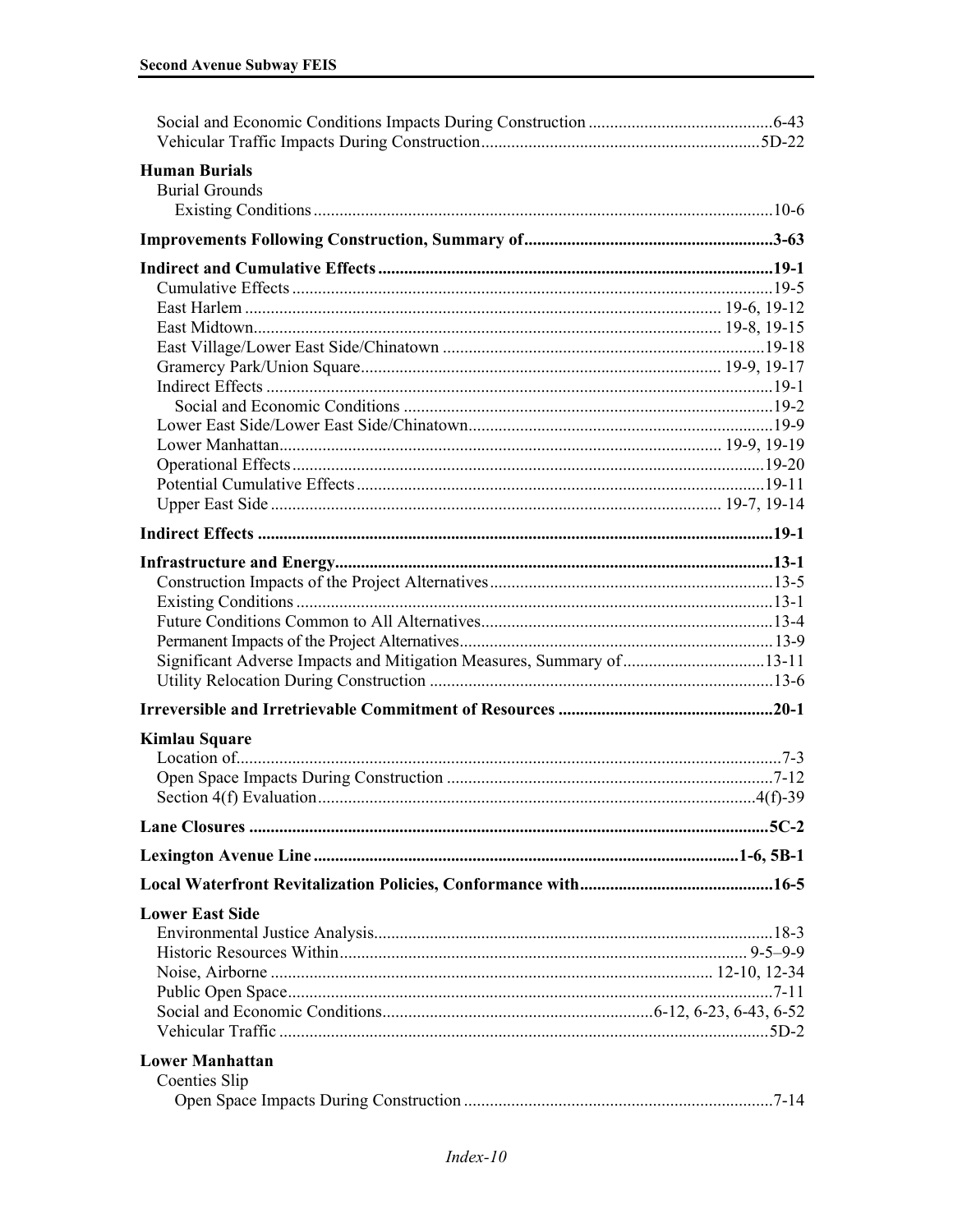| <b>Human Burials</b><br><b>Burial Grounds</b>                         |  |
|-----------------------------------------------------------------------|--|
|                                                                       |  |
|                                                                       |  |
|                                                                       |  |
|                                                                       |  |
|                                                                       |  |
|                                                                       |  |
|                                                                       |  |
|                                                                       |  |
|                                                                       |  |
|                                                                       |  |
|                                                                       |  |
|                                                                       |  |
|                                                                       |  |
|                                                                       |  |
|                                                                       |  |
|                                                                       |  |
|                                                                       |  |
|                                                                       |  |
|                                                                       |  |
| Significant Adverse Impacts and Mitigation Measures, Summary of 13-11 |  |
|                                                                       |  |
|                                                                       |  |
| <b>Kimlau Square</b>                                                  |  |
|                                                                       |  |
|                                                                       |  |
|                                                                       |  |
|                                                                       |  |
|                                                                       |  |
| <b>Lower East Side</b>                                                |  |
|                                                                       |  |
|                                                                       |  |
|                                                                       |  |
|                                                                       |  |
|                                                                       |  |
| <b>Lower Manhattan</b>                                                |  |
| <b>Coenties Slip</b>                                                  |  |
|                                                                       |  |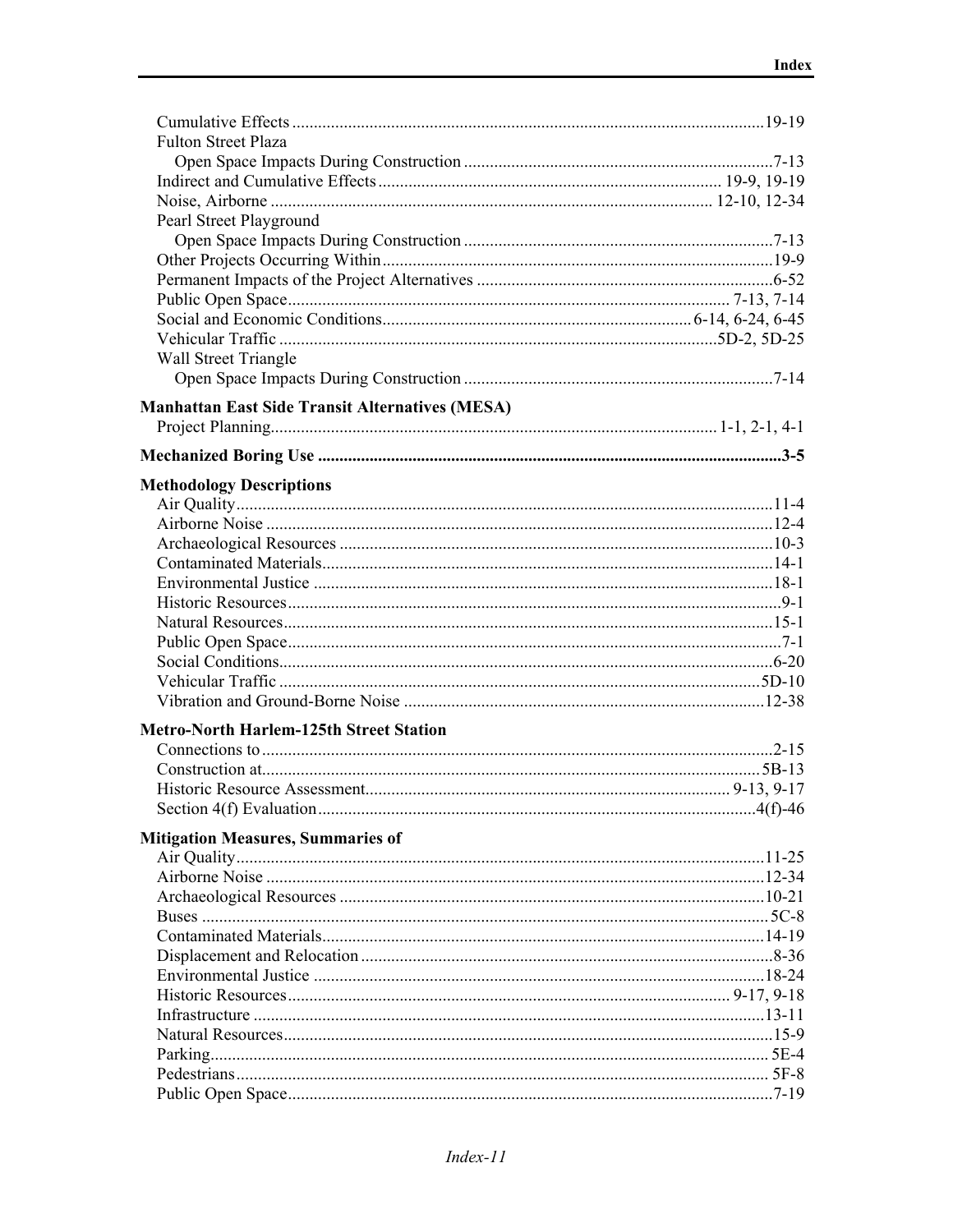| <b>Fulton Street Plaza</b>                             |  |
|--------------------------------------------------------|--|
|                                                        |  |
|                                                        |  |
|                                                        |  |
| Pearl Street Playground                                |  |
|                                                        |  |
|                                                        |  |
|                                                        |  |
|                                                        |  |
|                                                        |  |
|                                                        |  |
| Wall Street Triangle                                   |  |
|                                                        |  |
| <b>Manhattan East Side Transit Alternatives (MESA)</b> |  |
|                                                        |  |
|                                                        |  |
|                                                        |  |
| <b>Methodology Descriptions</b>                        |  |
|                                                        |  |
|                                                        |  |
|                                                        |  |
|                                                        |  |
|                                                        |  |
|                                                        |  |
|                                                        |  |
|                                                        |  |
|                                                        |  |
|                                                        |  |
|                                                        |  |
| <b>Metro-North Harlem-125th Street Station</b>         |  |
|                                                        |  |
|                                                        |  |
|                                                        |  |
|                                                        |  |
|                                                        |  |
| <b>Mitigation Measures, Summaries of</b>               |  |
|                                                        |  |
|                                                        |  |
|                                                        |  |
|                                                        |  |
|                                                        |  |
|                                                        |  |
|                                                        |  |
|                                                        |  |
|                                                        |  |
|                                                        |  |
|                                                        |  |
|                                                        |  |
|                                                        |  |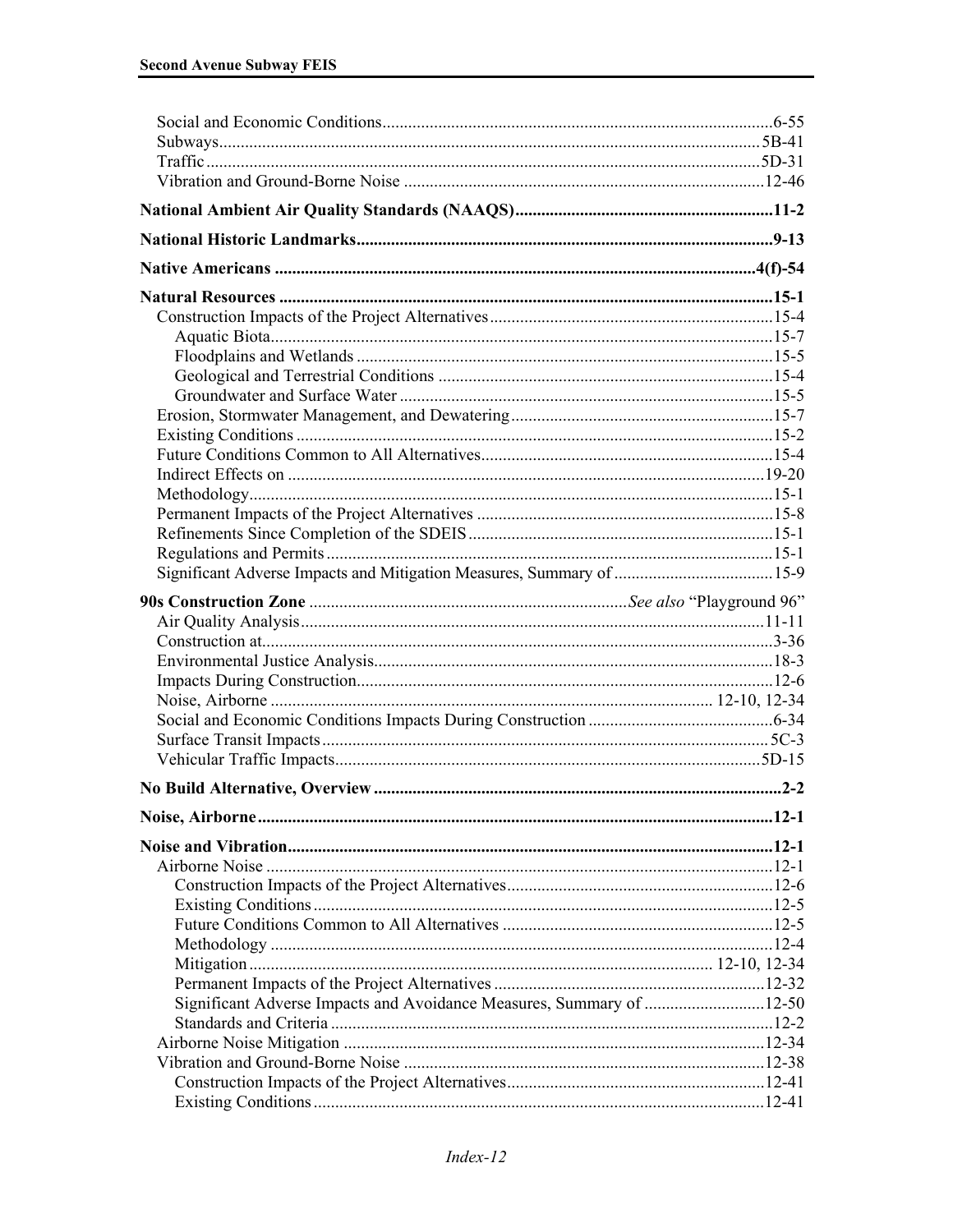| Significant Adverse Impacts and Avoidance Measures, Summary of 12-50 |  |
|----------------------------------------------------------------------|--|
|                                                                      |  |
|                                                                      |  |
|                                                                      |  |
|                                                                      |  |
|                                                                      |  |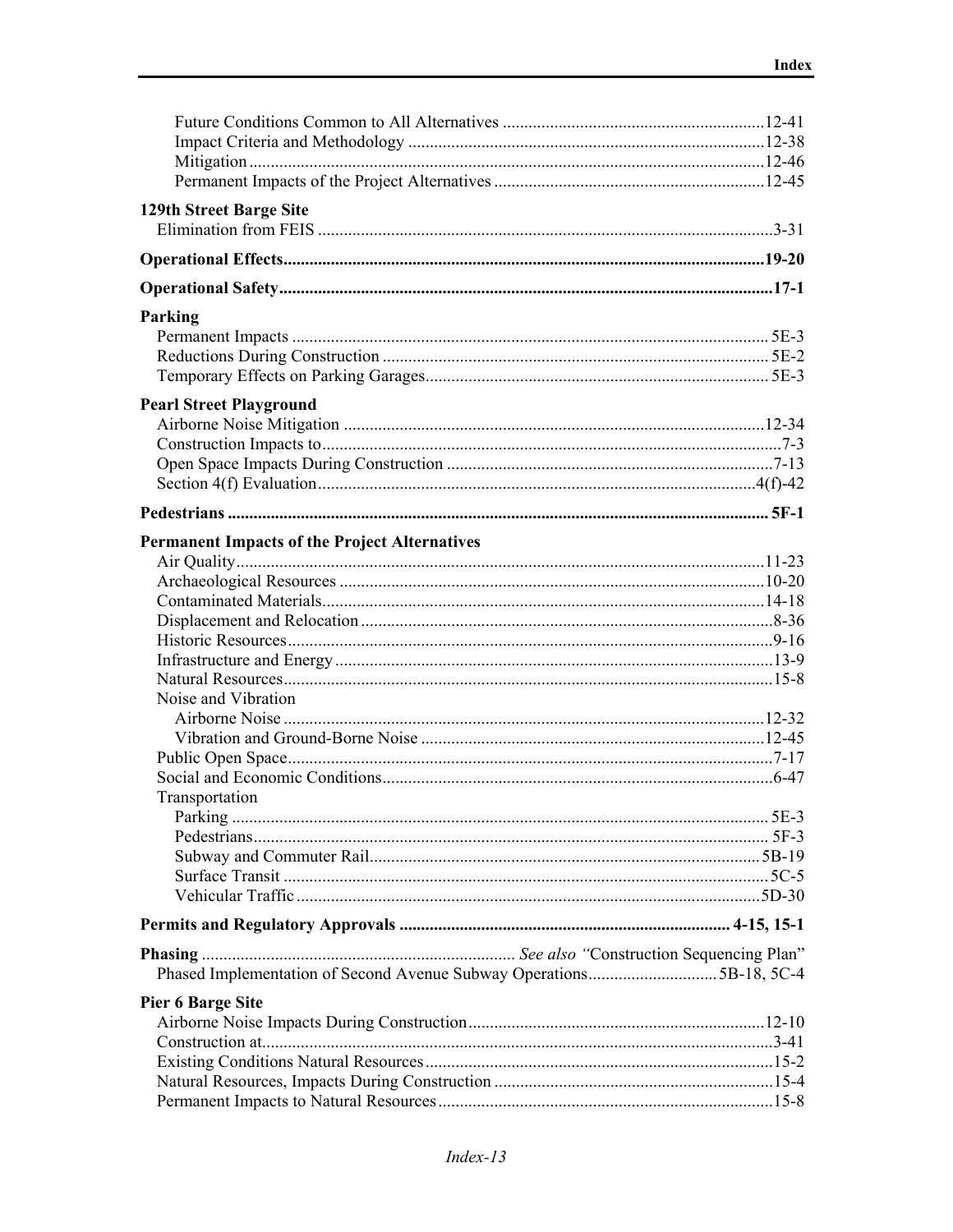| 129th Street Barge Site                                             |  |
|---------------------------------------------------------------------|--|
|                                                                     |  |
|                                                                     |  |
|                                                                     |  |
|                                                                     |  |
| Parking                                                             |  |
|                                                                     |  |
|                                                                     |  |
|                                                                     |  |
| <b>Pearl Street Playground</b>                                      |  |
|                                                                     |  |
|                                                                     |  |
|                                                                     |  |
|                                                                     |  |
|                                                                     |  |
| <b>Permanent Impacts of the Project Alternatives</b>                |  |
|                                                                     |  |
|                                                                     |  |
|                                                                     |  |
|                                                                     |  |
|                                                                     |  |
|                                                                     |  |
|                                                                     |  |
| Noise and Vibration                                                 |  |
|                                                                     |  |
|                                                                     |  |
|                                                                     |  |
|                                                                     |  |
| Transportation                                                      |  |
|                                                                     |  |
|                                                                     |  |
|                                                                     |  |
|                                                                     |  |
|                                                                     |  |
|                                                                     |  |
|                                                                     |  |
| Phased Implementation of Second Avenue Subway Operations5B-18, 5C-4 |  |
| <b>Pier 6 Barge Site</b>                                            |  |
|                                                                     |  |
|                                                                     |  |
|                                                                     |  |
|                                                                     |  |
|                                                                     |  |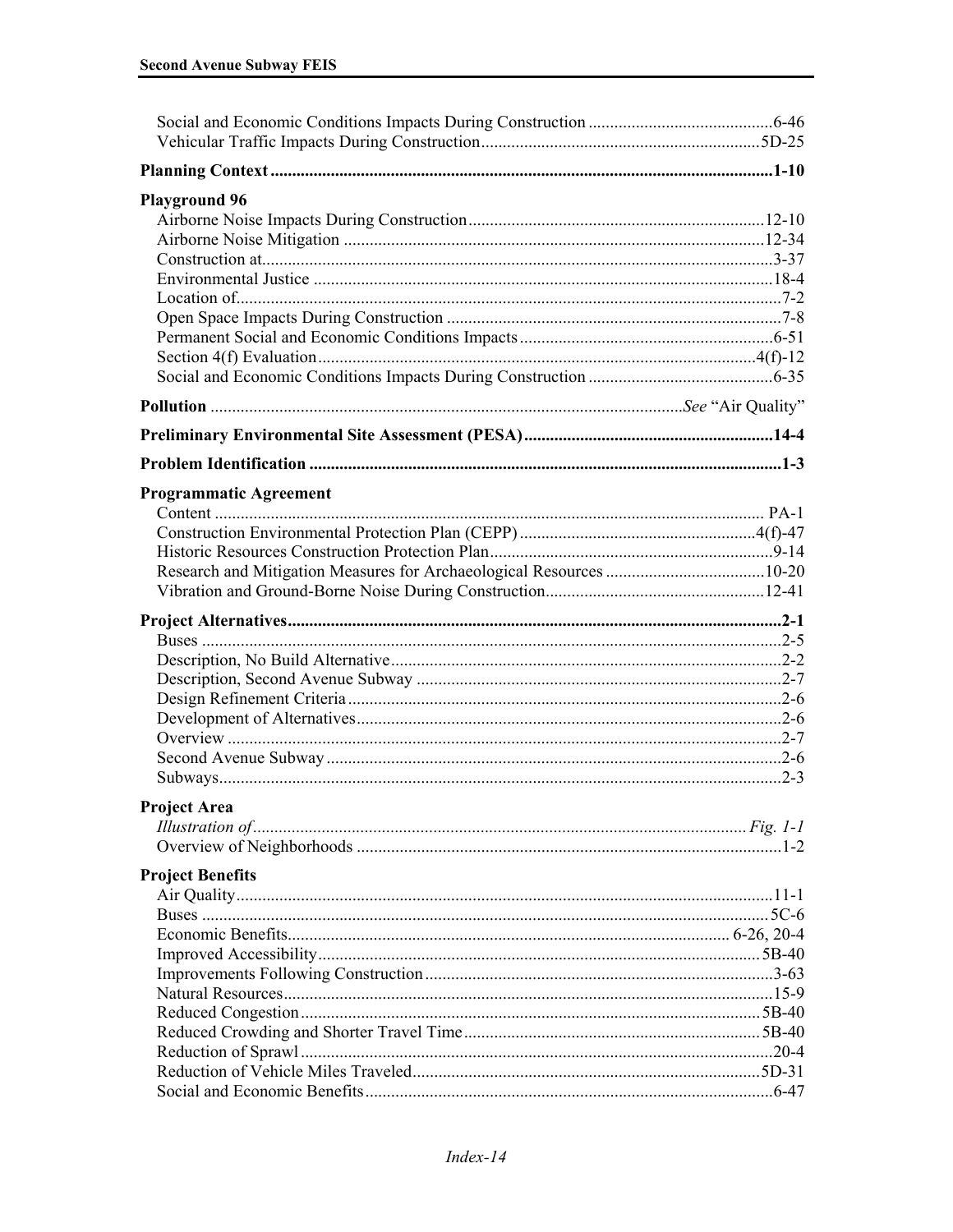| <b>Playground 96</b>          |  |
|-------------------------------|--|
|                               |  |
|                               |  |
|                               |  |
|                               |  |
|                               |  |
|                               |  |
|                               |  |
|                               |  |
|                               |  |
|                               |  |
|                               |  |
|                               |  |
| <b>Programmatic Agreement</b> |  |
|                               |  |
|                               |  |
|                               |  |
|                               |  |
|                               |  |
|                               |  |
|                               |  |
|                               |  |
|                               |  |
|                               |  |
|                               |  |
|                               |  |
|                               |  |
|                               |  |
| <b>Project Area</b>           |  |
|                               |  |
|                               |  |
| <b>Project Benefits</b>       |  |
|                               |  |
|                               |  |
|                               |  |
|                               |  |
|                               |  |
|                               |  |
|                               |  |
|                               |  |
|                               |  |
|                               |  |
|                               |  |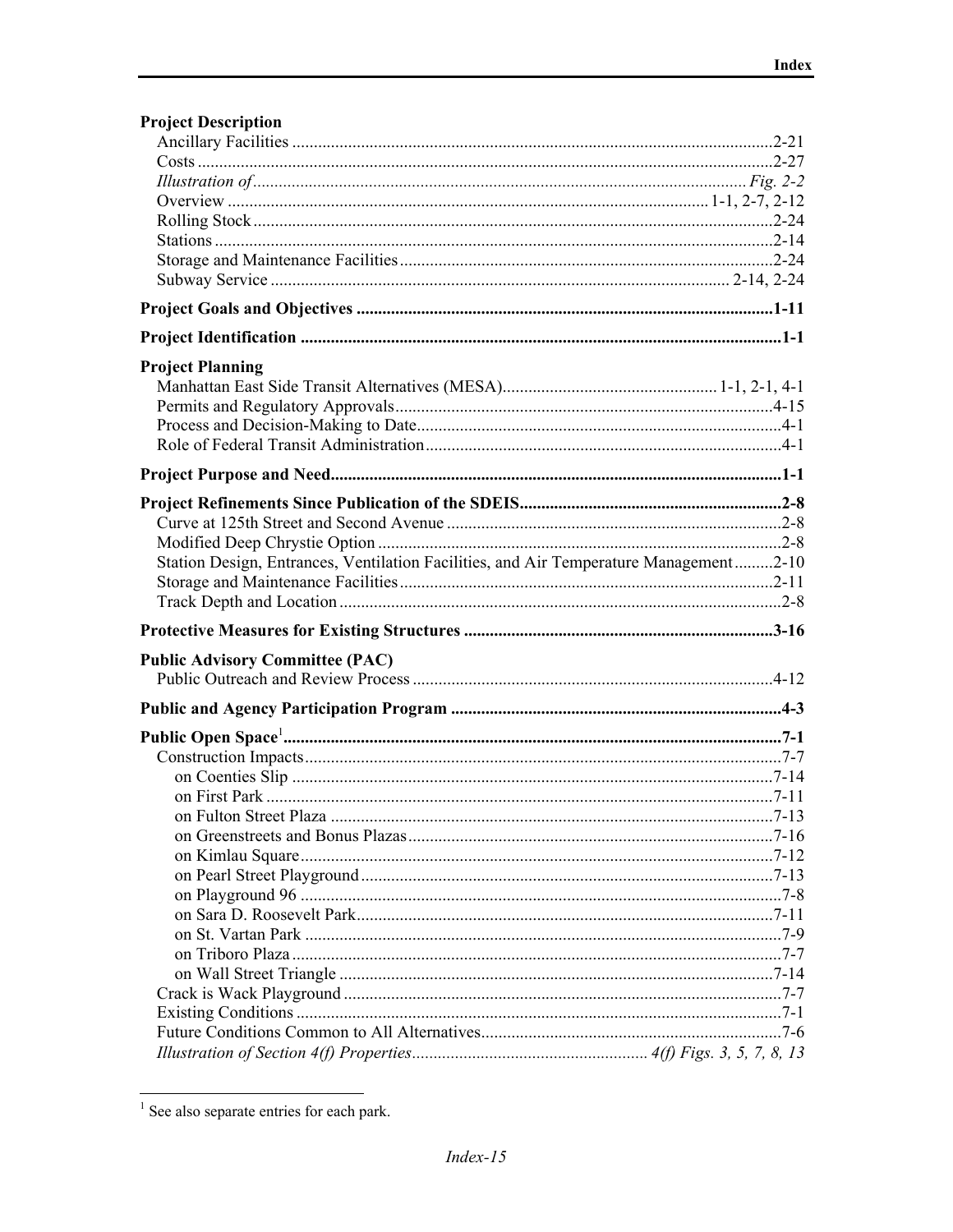| <b>Project Description</b>                                                            |  |
|---------------------------------------------------------------------------------------|--|
|                                                                                       |  |
|                                                                                       |  |
|                                                                                       |  |
|                                                                                       |  |
|                                                                                       |  |
|                                                                                       |  |
|                                                                                       |  |
|                                                                                       |  |
|                                                                                       |  |
|                                                                                       |  |
| <b>Project Planning</b>                                                               |  |
|                                                                                       |  |
|                                                                                       |  |
|                                                                                       |  |
|                                                                                       |  |
|                                                                                       |  |
|                                                                                       |  |
|                                                                                       |  |
|                                                                                       |  |
| Station Design, Entrances, Ventilation Facilities, and Air Temperature Management2-10 |  |
|                                                                                       |  |
|                                                                                       |  |
|                                                                                       |  |
|                                                                                       |  |
| <b>Public Advisory Committee (PAC)</b>                                                |  |
|                                                                                       |  |
|                                                                                       |  |
|                                                                                       |  |
|                                                                                       |  |
|                                                                                       |  |
|                                                                                       |  |
|                                                                                       |  |
|                                                                                       |  |
|                                                                                       |  |
|                                                                                       |  |
|                                                                                       |  |
|                                                                                       |  |
|                                                                                       |  |
|                                                                                       |  |
|                                                                                       |  |
|                                                                                       |  |
|                                                                                       |  |
|                                                                                       |  |
|                                                                                       |  |

 $1$  See also separate entries for each park.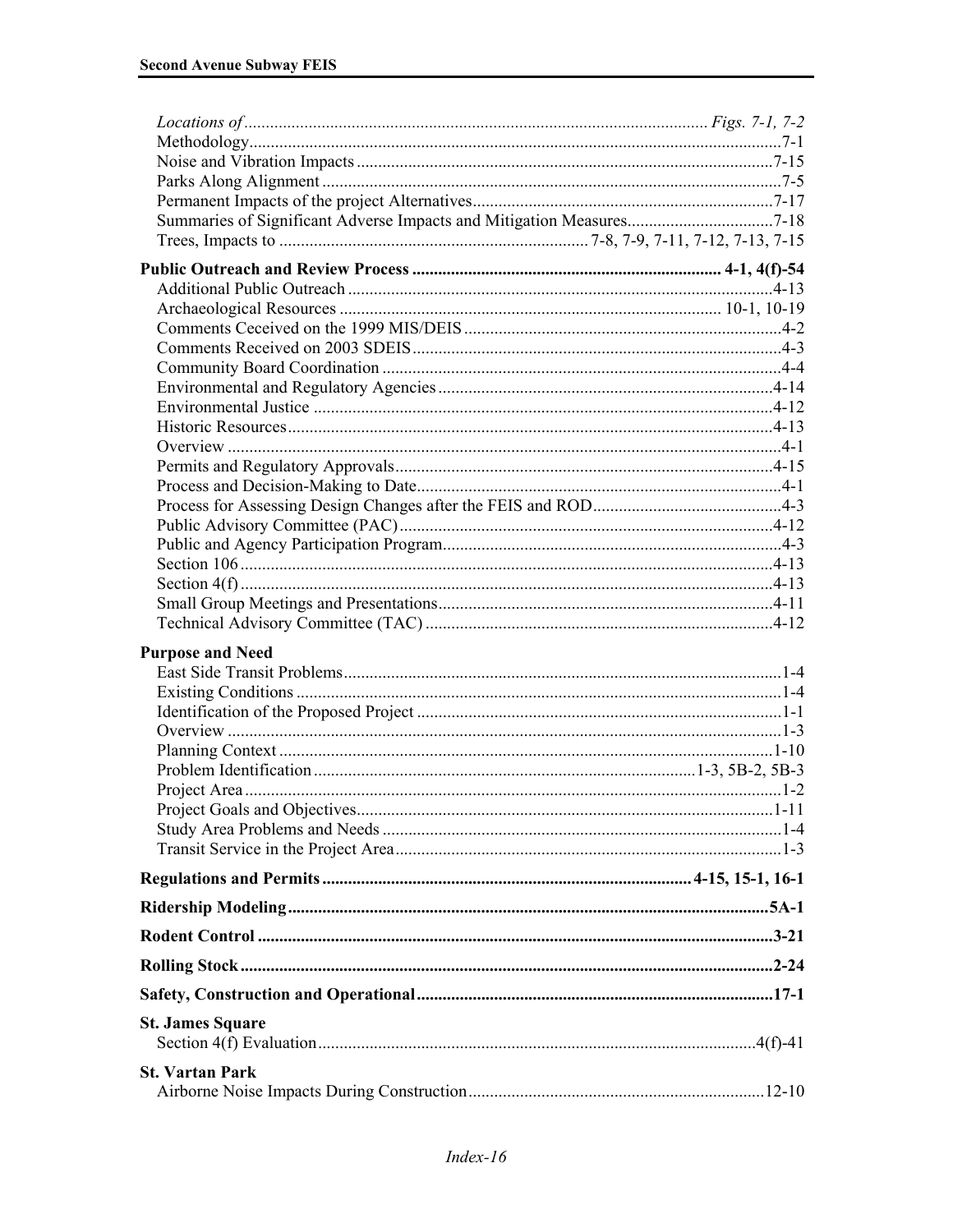| Summaries of Significant Adverse Impacts and Mitigation Measures7-18 |  |
|----------------------------------------------------------------------|--|
|                                                                      |  |
|                                                                      |  |
|                                                                      |  |
|                                                                      |  |
|                                                                      |  |
|                                                                      |  |
|                                                                      |  |
|                                                                      |  |
|                                                                      |  |
|                                                                      |  |
|                                                                      |  |
|                                                                      |  |
|                                                                      |  |
|                                                                      |  |
|                                                                      |  |
|                                                                      |  |
|                                                                      |  |
|                                                                      |  |
|                                                                      |  |
|                                                                      |  |
| <b>Purpose and Need</b>                                              |  |
|                                                                      |  |
|                                                                      |  |
|                                                                      |  |
|                                                                      |  |
|                                                                      |  |
|                                                                      |  |
|                                                                      |  |
|                                                                      |  |
|                                                                      |  |
|                                                                      |  |
|                                                                      |  |
|                                                                      |  |
|                                                                      |  |
|                                                                      |  |
|                                                                      |  |
| <b>St. James Square</b>                                              |  |
| <b>St. Vartan Park</b>                                               |  |
|                                                                      |  |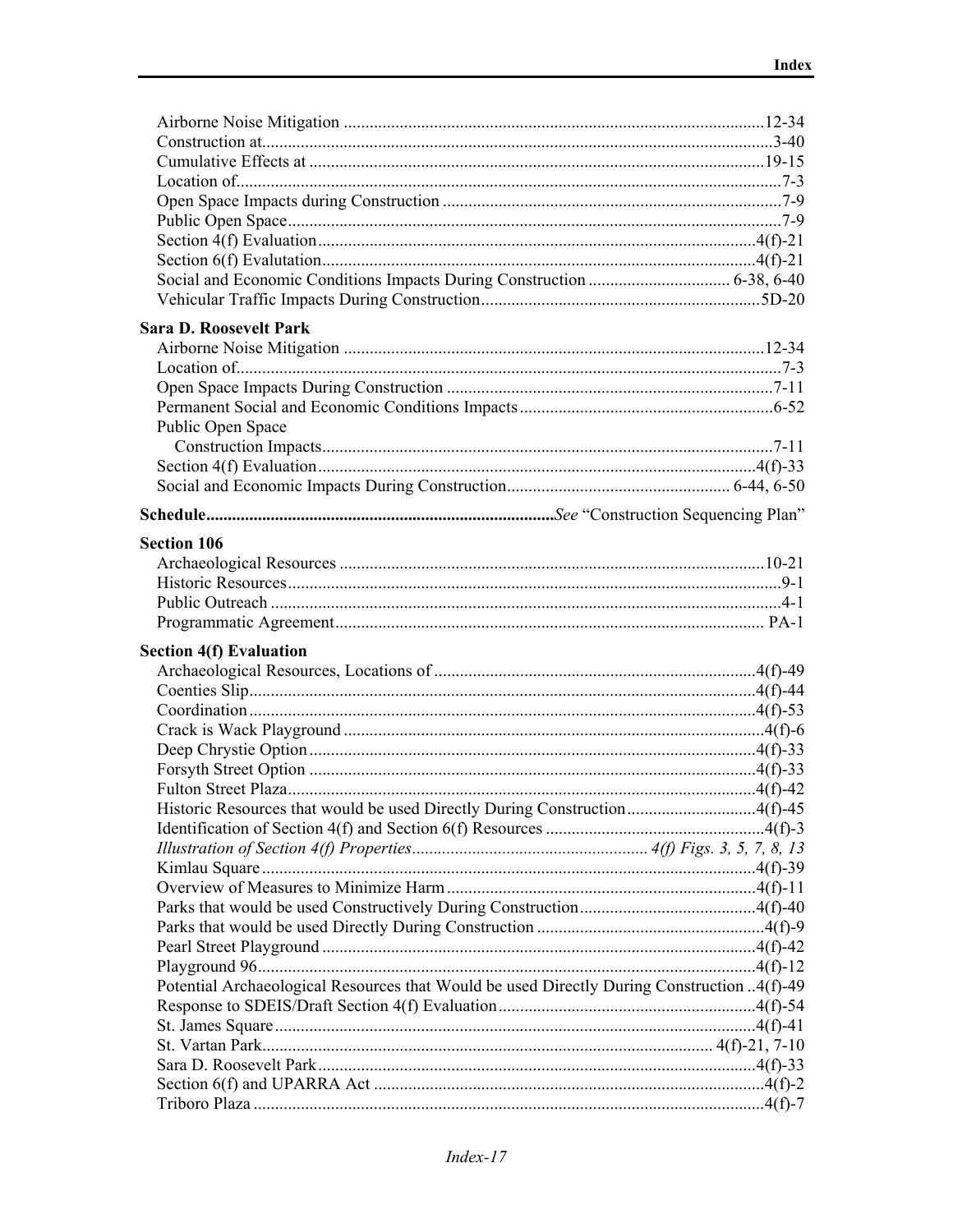| <b>Sara D. Roosevelt Park</b>                                                              |  |
|--------------------------------------------------------------------------------------------|--|
|                                                                                            |  |
|                                                                                            |  |
|                                                                                            |  |
|                                                                                            |  |
| Public Open Space                                                                          |  |
|                                                                                            |  |
|                                                                                            |  |
|                                                                                            |  |
|                                                                                            |  |
|                                                                                            |  |
| <b>Section 106</b>                                                                         |  |
|                                                                                            |  |
|                                                                                            |  |
|                                                                                            |  |
|                                                                                            |  |
| <b>Section 4(f) Evaluation</b>                                                             |  |
|                                                                                            |  |
|                                                                                            |  |
|                                                                                            |  |
|                                                                                            |  |
|                                                                                            |  |
|                                                                                            |  |
|                                                                                            |  |
| Historic Resources that would be used Directly During Construction4(f)-45                  |  |
|                                                                                            |  |
|                                                                                            |  |
|                                                                                            |  |
|                                                                                            |  |
|                                                                                            |  |
|                                                                                            |  |
|                                                                                            |  |
|                                                                                            |  |
| Potential Archaeological Resources that Would be used Directly During Construction 4(f)-49 |  |
|                                                                                            |  |
|                                                                                            |  |
|                                                                                            |  |
|                                                                                            |  |
|                                                                                            |  |
|                                                                                            |  |
|                                                                                            |  |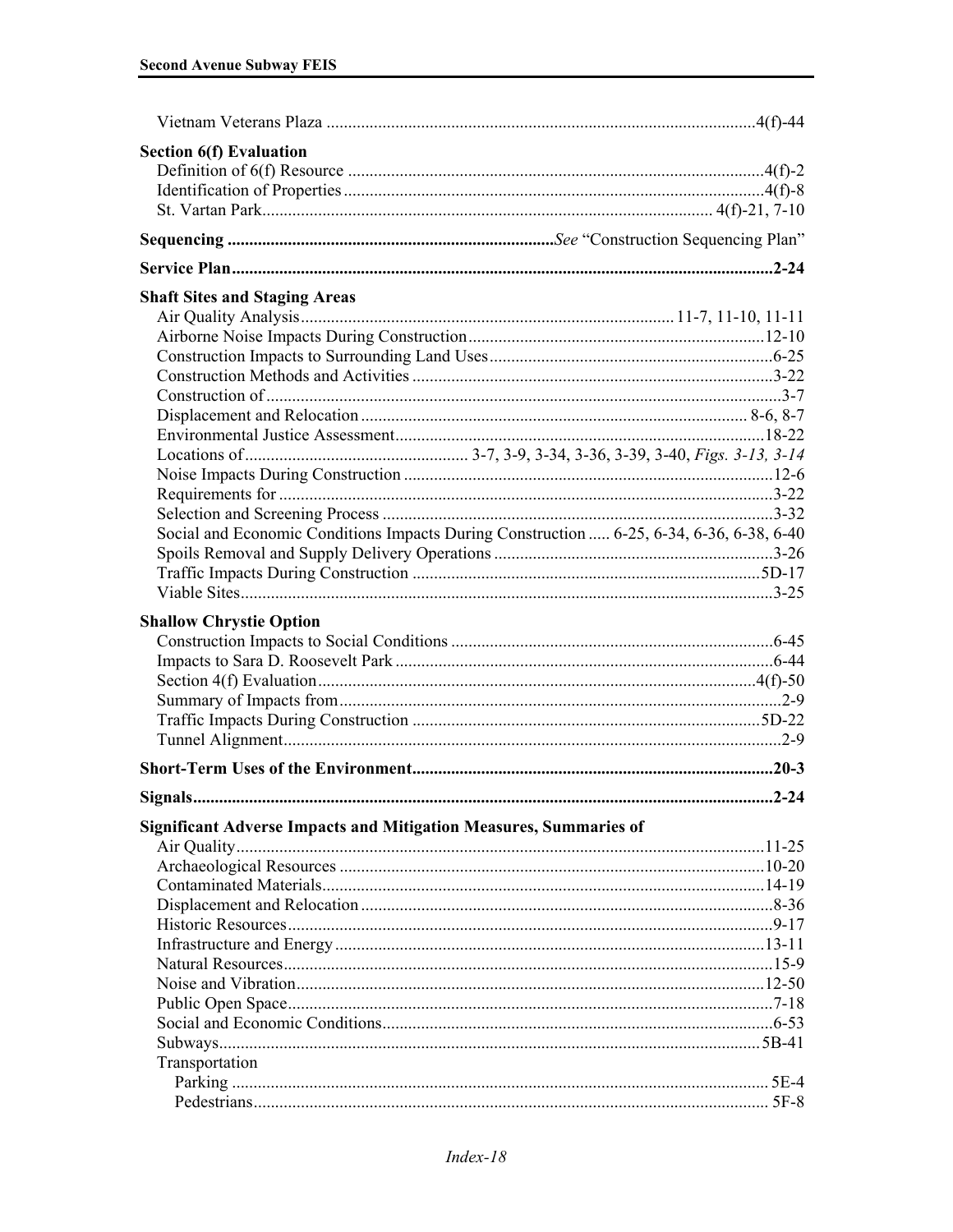| <b>Section 6(f) Evaluation</b>                                                           |  |
|------------------------------------------------------------------------------------------|--|
|                                                                                          |  |
|                                                                                          |  |
|                                                                                          |  |
|                                                                                          |  |
|                                                                                          |  |
| <b>Shaft Sites and Staging Areas</b>                                                     |  |
|                                                                                          |  |
|                                                                                          |  |
|                                                                                          |  |
|                                                                                          |  |
|                                                                                          |  |
|                                                                                          |  |
|                                                                                          |  |
|                                                                                          |  |
|                                                                                          |  |
|                                                                                          |  |
|                                                                                          |  |
| Social and Economic Conditions Impacts During Construction  6-25, 6-34, 6-36, 6-38, 6-40 |  |
|                                                                                          |  |
|                                                                                          |  |
|                                                                                          |  |
| <b>Shallow Chrystie Option</b>                                                           |  |
|                                                                                          |  |
|                                                                                          |  |
|                                                                                          |  |
|                                                                                          |  |
|                                                                                          |  |
|                                                                                          |  |
|                                                                                          |  |
|                                                                                          |  |
|                                                                                          |  |
| <b>Significant Adverse Impacts and Mitigation Measures, Summaries of</b>                 |  |
|                                                                                          |  |
|                                                                                          |  |
|                                                                                          |  |
|                                                                                          |  |
|                                                                                          |  |
|                                                                                          |  |
|                                                                                          |  |
|                                                                                          |  |
|                                                                                          |  |
|                                                                                          |  |
|                                                                                          |  |
| Transportation                                                                           |  |
|                                                                                          |  |
|                                                                                          |  |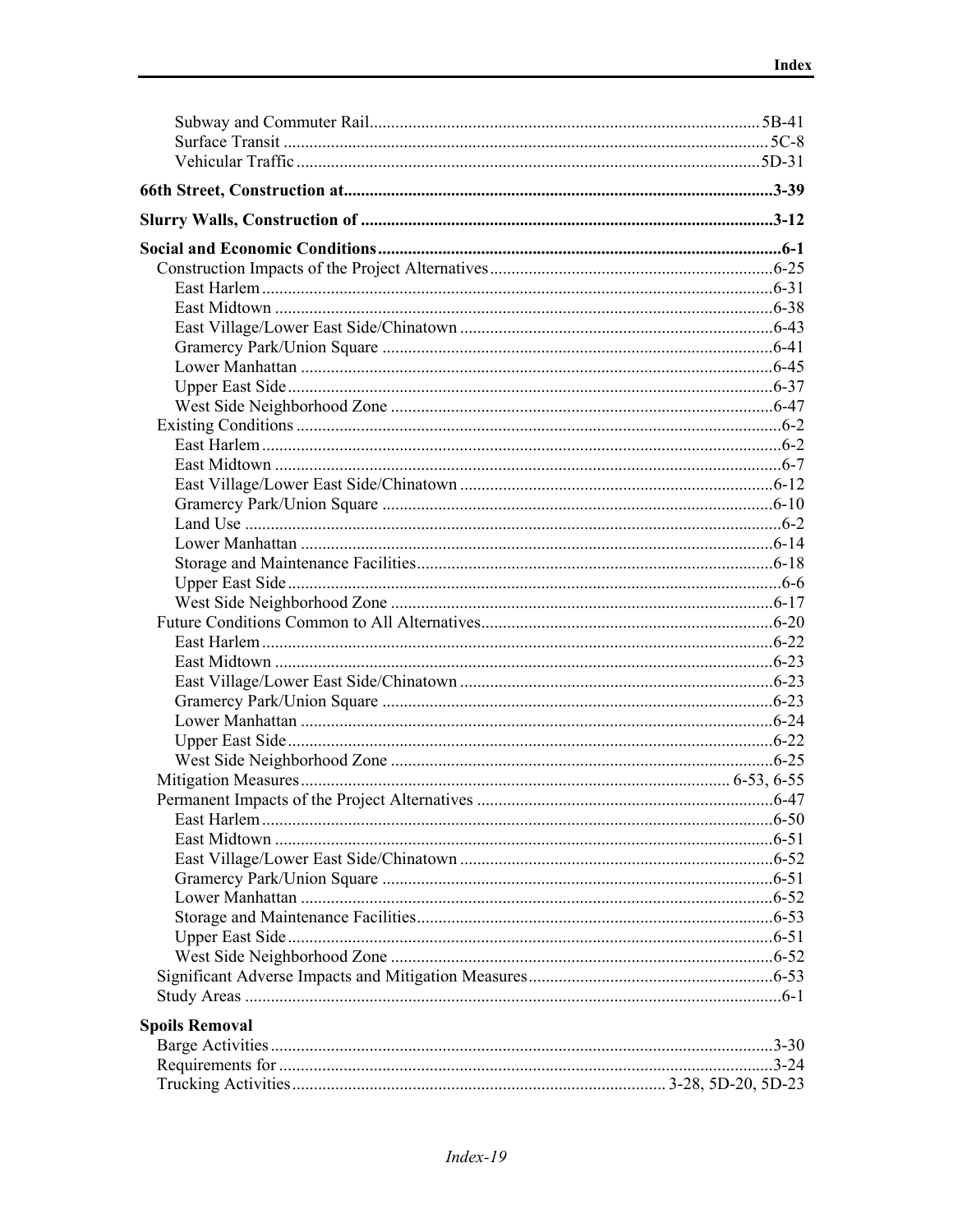| <b>Spoils Removal</b> |  |
|-----------------------|--|
|                       |  |
|                       |  |
|                       |  |
|                       |  |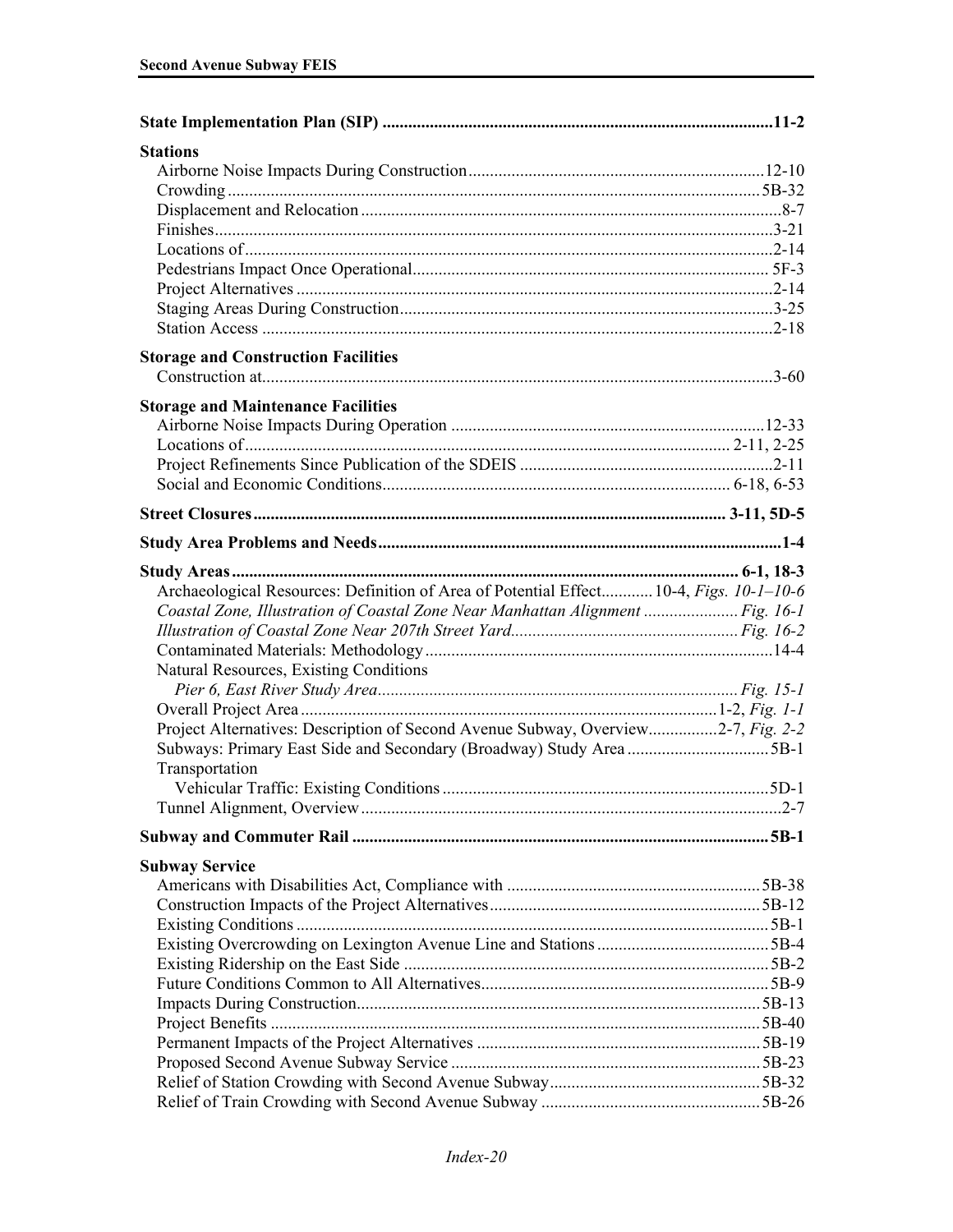| <b>Stations</b>                                                                        |  |
|----------------------------------------------------------------------------------------|--|
|                                                                                        |  |
|                                                                                        |  |
|                                                                                        |  |
|                                                                                        |  |
|                                                                                        |  |
|                                                                                        |  |
|                                                                                        |  |
|                                                                                        |  |
|                                                                                        |  |
| <b>Storage and Construction Facilities</b>                                             |  |
|                                                                                        |  |
| <b>Storage and Maintenance Facilities</b>                                              |  |
|                                                                                        |  |
|                                                                                        |  |
|                                                                                        |  |
|                                                                                        |  |
|                                                                                        |  |
|                                                                                        |  |
|                                                                                        |  |
|                                                                                        |  |
| Archaeological Resources: Definition of Area of Potential Effect 10-4, Figs. 10-1-10-6 |  |
| Coastal Zone, Illustration of Coastal Zone Near Manhattan Alignment  Fig. 16-1         |  |
|                                                                                        |  |
|                                                                                        |  |
| Natural Resources, Existing Conditions                                                 |  |
|                                                                                        |  |
|                                                                                        |  |
| Project Alternatives: Description of Second Avenue Subway, Overview2-7, Fig. 2-2       |  |
|                                                                                        |  |
| Transportation                                                                         |  |
|                                                                                        |  |
|                                                                                        |  |
|                                                                                        |  |
| <b>Subway Service</b>                                                                  |  |
|                                                                                        |  |
|                                                                                        |  |
|                                                                                        |  |
|                                                                                        |  |
|                                                                                        |  |
|                                                                                        |  |
|                                                                                        |  |
|                                                                                        |  |
|                                                                                        |  |
|                                                                                        |  |
|                                                                                        |  |
|                                                                                        |  |
|                                                                                        |  |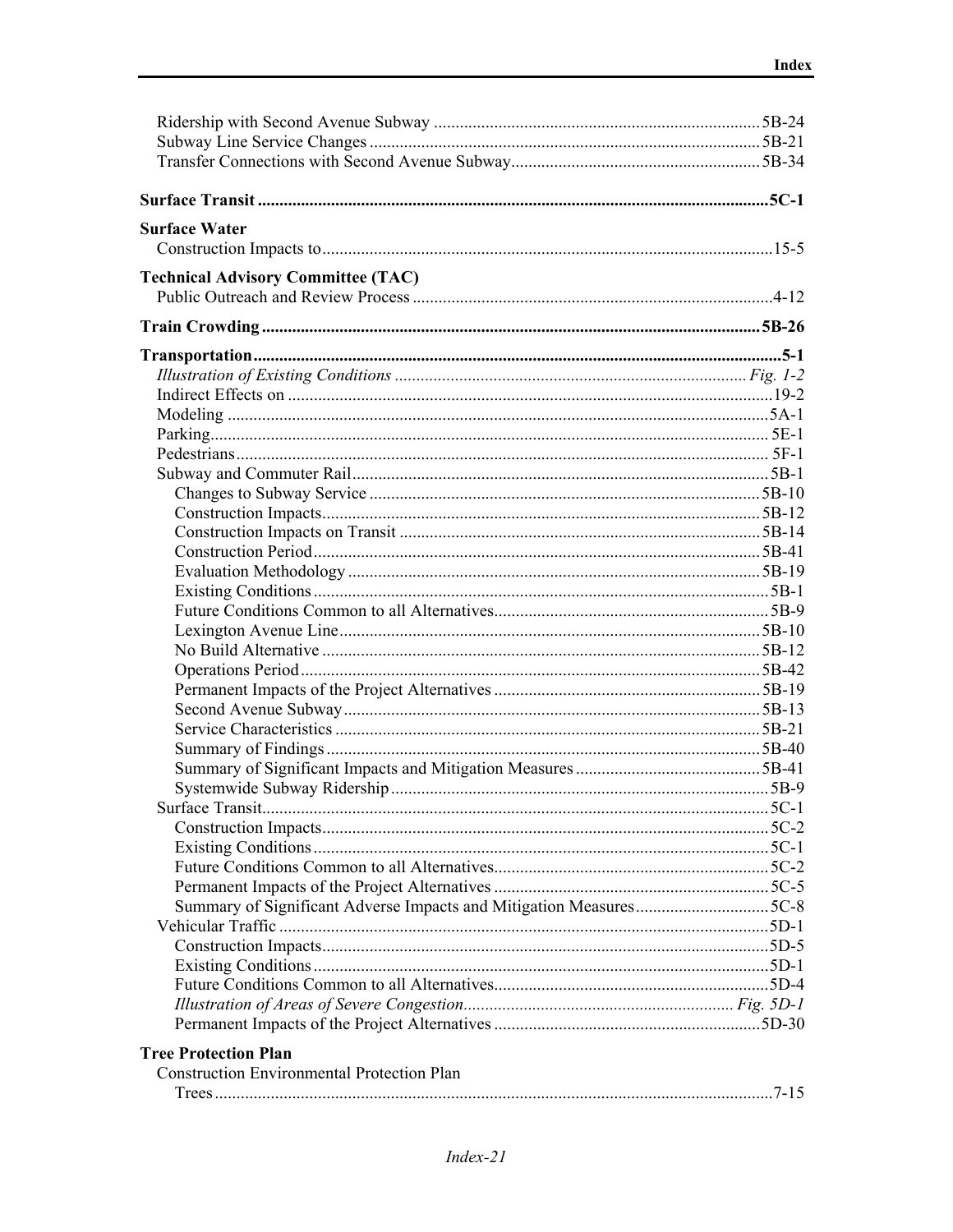| <b>Surface Water</b>                                               |  |
|--------------------------------------------------------------------|--|
|                                                                    |  |
| <b>Technical Advisory Committee (TAC)</b>                          |  |
|                                                                    |  |
|                                                                    |  |
|                                                                    |  |
|                                                                    |  |
|                                                                    |  |
|                                                                    |  |
|                                                                    |  |
|                                                                    |  |
|                                                                    |  |
|                                                                    |  |
|                                                                    |  |
|                                                                    |  |
|                                                                    |  |
|                                                                    |  |
|                                                                    |  |
|                                                                    |  |
|                                                                    |  |
|                                                                    |  |
|                                                                    |  |
|                                                                    |  |
|                                                                    |  |
|                                                                    |  |
|                                                                    |  |
|                                                                    |  |
|                                                                    |  |
|                                                                    |  |
|                                                                    |  |
|                                                                    |  |
|                                                                    |  |
|                                                                    |  |
|                                                                    |  |
| Summary of Significant Adverse Impacts and Mitigation Measures5C-8 |  |
|                                                                    |  |
|                                                                    |  |
|                                                                    |  |
|                                                                    |  |
|                                                                    |  |
|                                                                    |  |
| <b>Tree Protection Plan</b>                                        |  |
| <b>Construction Environmental Protection Plan</b>                  |  |
|                                                                    |  |